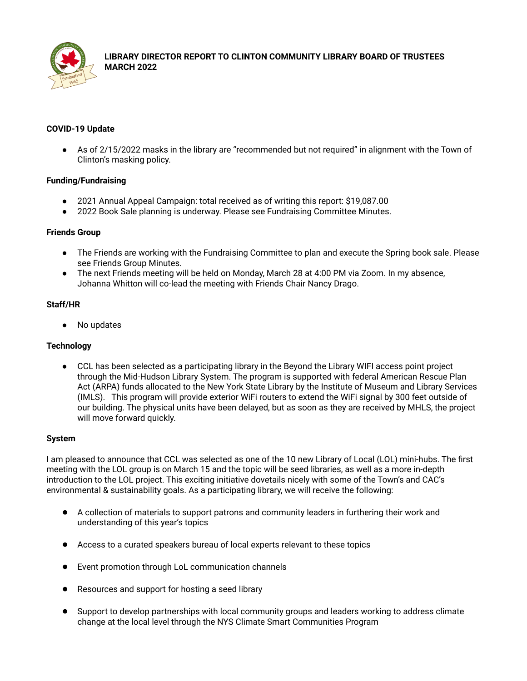

# **LIBRARY DIRECTOR REPORT TO CLINTON COMMUNITY LIBRARY BOARD OF TRUSTEES MARCH 2022**

# **COVID-19 Update**

● As of 2/15/2022 masks in the library are "recommended but not required" in alignment with the Town of Clinton's masking policy.

# **Funding/Fundraising**

- 2021 Annual Appeal Campaign: total received as of writing this report: \$19,087.00
- 2022 Book Sale planning is underway. Please see Fundraising Committee Minutes.

#### **Friends Group**

- The Friends are working with the Fundraising Committee to plan and execute the Spring book sale. Please see Friends Group Minutes.
- The next Friends meeting will be held on Monday, March 28 at 4:00 PM via Zoom. In my absence, Johanna Whitton will co-lead the meeting with Friends Chair Nancy Drago.

#### **Staff/HR**

● No updates

# **Technology**

● CCL has been selected as a participating library in the Beyond the Library WIFI access point project through the Mid-Hudson Library System. The program is supported with federal American Rescue Plan Act (ARPA) funds allocated to the New York State Library by the Institute of Museum and Library Services (IMLS). This program will provide exterior WiFi routers to extend the WiFi signal by 300 feet outside of our building. The physical units have been delayed, but as soon as they are received by MHLS, the project will move forward quickly.

# **System**

I am pleased to announce that CCL was selected as one of the 10 new Library of Local (LOL) mini-hubs. The first meeting with the LOL group is on March 15 and the topic will be seed libraries, as well as a more in-depth introduction to the LOL project. This exciting initiative dovetails nicely with some of the Town's and CAC's environmental & sustainability goals. As a participating library, we will receive the following:

- A collection of materials to support patrons and community leaders in furthering their work and understanding of this year's topics
- Access to a curated speakers bureau of local experts relevant to these topics
- Event promotion through LoL communication channels
- Resources and support for hosting a seed library
- Support to develop partnerships with local community groups and leaders working to address climate change at the local level through the NYS Climate Smart Communities Program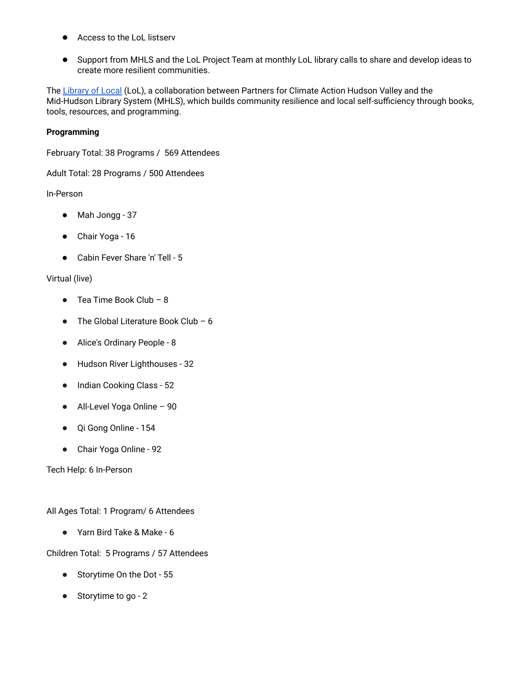- Access to the LoL listserv
- Support from MHLS and the LoL Project Team at monthly LoL library calls to share and develop ideas to create more resilient communities.

The [Library](https://www.libraryoflocal.org/) of Local (LoL), a collaboration between Partners for Climate Action Hudson Valley and the Mid-Hudson Library System (MHLS), which builds community resilience and local self-sufficiency through books, tools, resources, and programming.

## **Programming**

February Total: 38 Programs / 569 Attendees

Adult Total: 28 Programs / 500 Attendees

In-Person

- Mah Jongg 37
- Chair Yoga 16
- Cabin Fever Share 'n' Tell 5

# Virtual (live)

- $\bullet$  Tea Time Book Club 8
- $\bullet$  The Global Literature Book Club 6
- Alice's Ordinary People 8
- Hudson River Lighthouses 32
- Indian Cooking Class 52
- All-Level Yoga Online 90
- Qi Gong Online 154
- Chair Yoga Online 92

Tech Help: 6 In-Person

All Ages Total: 1 Program/ 6 Attendees

● Yarn Bird Take & Make - 6

# Children Total: 5 Programs / 57 Attendees

- Storytime On the Dot 55
- Storytime to go 2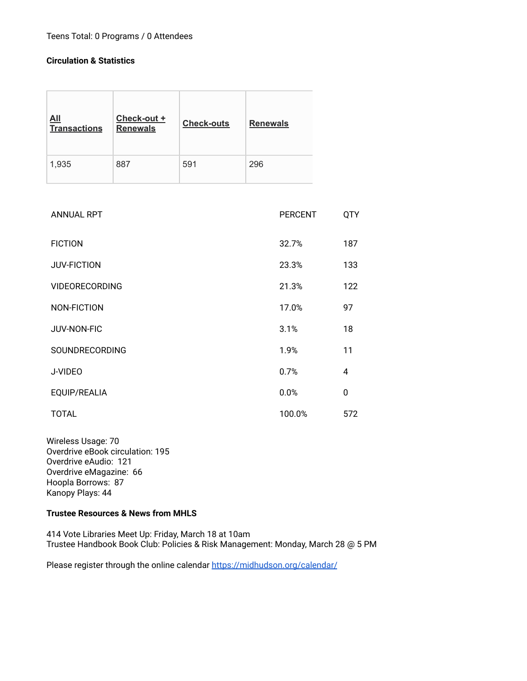# Teens Total: 0 Programs / 0 Attendees

# **Circulation & Statistics**

| $\underline{\mathsf{All}}$<br><b>Transactions</b> | Check-out +<br><b>Renewals</b> | <b>Check-outs</b> | <b>Renewals</b> |
|---------------------------------------------------|--------------------------------|-------------------|-----------------|
| 1,935                                             | 887                            | 591               | 296             |

| <b>ANNUAL RPT</b>     | <b>PERCENT</b> | <b>QTY</b> |
|-----------------------|----------------|------------|
| <b>FICTION</b>        | 32.7%          | 187        |
| <b>JUV-FICTION</b>    | 23.3%          | 133        |
| <b>VIDEORECORDING</b> | 21.3%          | 122        |
| NON-FICTION           | 17.0%          | 97         |
| JUV-NON-FIC           | 3.1%           | 18         |
| SOUNDRECORDING        | 1.9%           | 11         |
| J-VIDEO               | 0.7%           | 4          |
| EQUIP/REALIA          | 0.0%           | 0          |
| <b>TOTAL</b>          | 100.0%         | 572        |

Wireless Usage: 70 Overdrive eBook circulation: 195 Overdrive eAudio: 121 Overdrive eMagazine: 66 Hoopla Borrows: 87 Kanopy Plays: 44

#### **Trustee Resources & News from MHLS**

414 Vote Libraries Meet Up: Friday, March 18 at 10am Trustee Handbook Book Club: Policies & Risk Management: Monday, March 28 @ 5 PM

Please register through the online calendar <https://midhudson.org/calendar/>